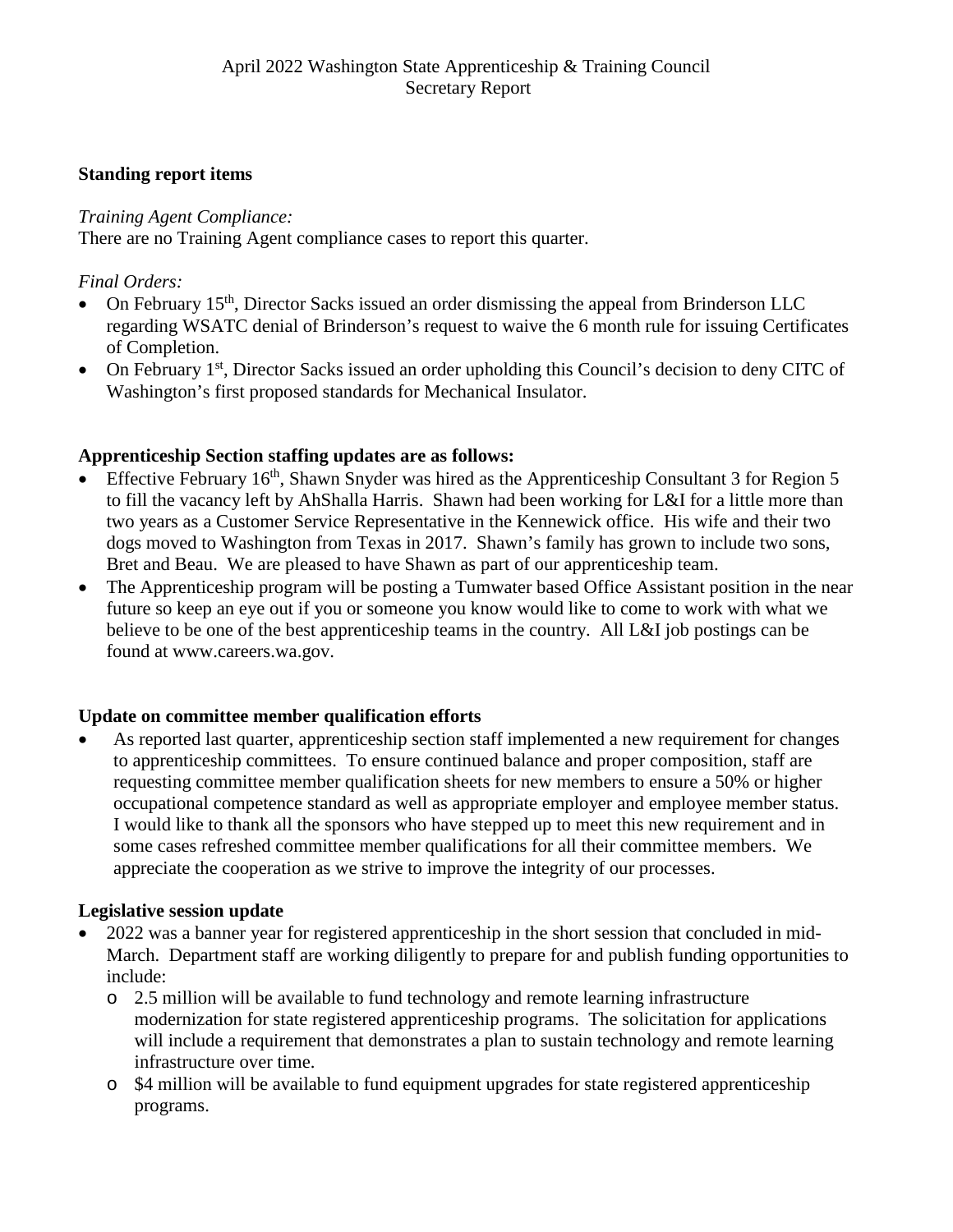## **Standing report items**

## *Training Agent Compliance:*

There are no Training Agent compliance cases to report this quarter.

# *Final Orders:*

- On February 15<sup>th</sup>, Director Sacks issued an order dismissing the appeal from Brinderson LLC regarding WSATC denial of Brinderson's request to waive the 6 month rule for issuing Certificates of Completion.
- On February 1<sup>st</sup>, Director Sacks issued an order upholding this Council's decision to deny CITC of Washington's first proposed standards for Mechanical Insulator.

## **Apprenticeship Section staffing updates are as follows:**

- Effective February  $16<sup>th</sup>$ , Shawn Snyder was hired as the Apprenticeship Consultant 3 for Region 5 to fill the vacancy left by AhShalla Harris. Shawn had been working for L&I for a little more than two years as a Customer Service Representative in the Kennewick office. His wife and their two dogs moved to Washington from Texas in 2017. Shawn's family has grown to include two sons, Bret and Beau. We are pleased to have Shawn as part of our apprenticeship team.
- The Apprenticeship program will be posting a Tumwater based Office Assistant position in the near future so keep an eye out if you or someone you know would like to come to work with what we believe to be one of the best apprenticeship teams in the country. All L&I job postings can be found at www.careers.wa.gov.

## **Update on committee member qualification efforts**

As reported last quarter, apprenticeship section staff implemented a new requirement for changes to apprenticeship committees. To ensure continued balance and proper composition, staff are requesting committee member qualification sheets for new members to ensure a 50% or higher occupational competence standard as well as appropriate employer and employee member status. I would like to thank all the sponsors who have stepped up to meet this new requirement and in some cases refreshed committee member qualifications for all their committee members. We appreciate the cooperation as we strive to improve the integrity of our processes.

# **Legislative session update**

- 2022 was a banner year for registered apprenticeship in the short session that concluded in mid-March. Department staff are working diligently to prepare for and publish funding opportunities to include:
	- o 2.5 million will be available to fund technology and remote learning infrastructure modernization for state registered apprenticeship programs. The solicitation for applications will include a requirement that demonstrates a plan to sustain technology and remote learning infrastructure over time.
	- o \$4 million will be available to fund equipment upgrades for state registered apprenticeship programs.